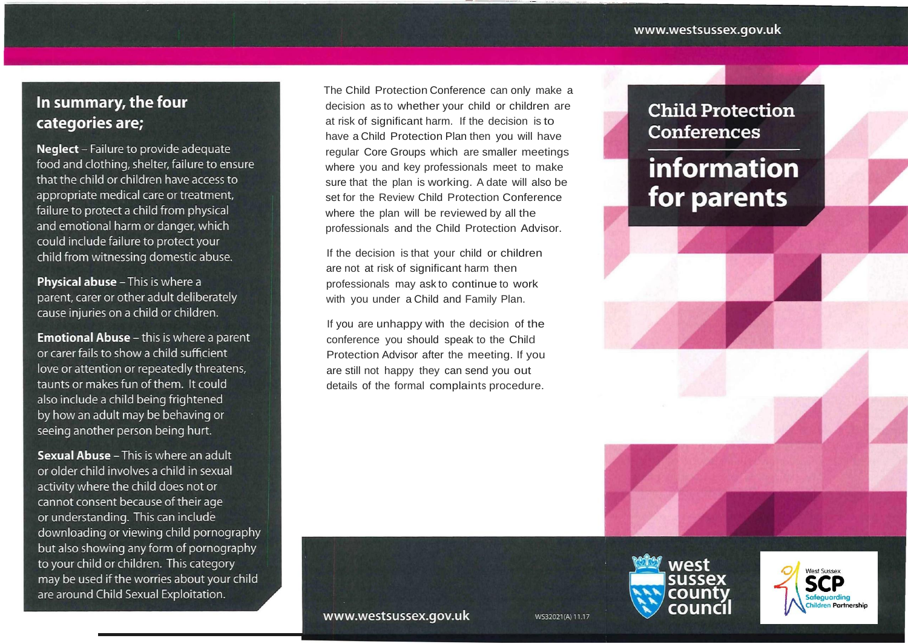### In summary, the four categories are;

**Neglect** - Failure to provide adequate food and clothing, shelter, failure to ensure that the child or children have access to appropriate medical care or treatment, failure to protect a child from physical and emotional harm or danger, which could include failure to protect your child from witnessing domestic abuse.

Physical abuse - This is where a parent, carer or other adult deliberately cause injuries on a child or children.

**Emotional Abuse - this is where a parent** or carer fails to show a child sufficient love or attention or repeatedly threatens, taunts or makes fun of them. It could also include a child being frightened by how an adult may be behaving or seeing another person being hurt.

**Sexual Abuse** - This is where an adult or older child involves a child in sexual activity where the child does not or cannot consent because of their age or understanding. This can include downloading or viewing child pornography but also showing any form of pornography to your child or children. This category may be used if the worries about your child are around Child Sexual Exploitation.

The Child Protection Conference can only make a decision as to whether your child or children are at risk of significant harm. If the decision is to have a Child Protection Plan then you will have regular Core Groups which are smaller meetings where you and key professionals meet to make sure that the plan is working. A date will also be set for the Review Child Protection Conference where the plan will be reviewed by all the professionals and the Child Protection Advisor.

If the decision is that your child or children are not at risk of significant harm then professionals may ask to continue to work with you under a Child and Family Plan.

If you are unhappy with the decision of the conference you should speak to the Child Protection Advisor after the meeting. If you are still not happy they can send you out details of the formal complaints procedure.

### **Child Protection Conferences**

# information for parents



WS32021(A) 11.17